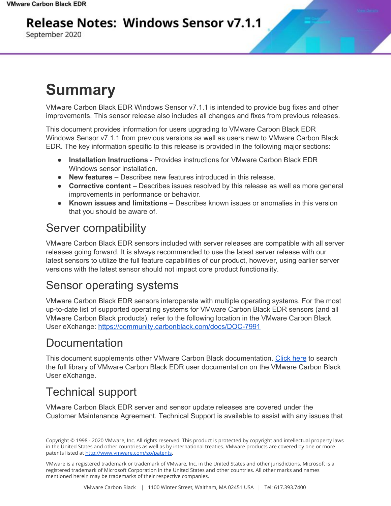## **Release Notes: Windows Sensor v7.1.1**

September 2020

# **Summary**

VMware Carbon Black EDR Windows Sensor v7.1.1 is intended to provide bug fixes and other improvements. This sensor release also includes all changes and fixes from previous releases.

This document provides information for users upgrading to VMware Carbon Black EDR Windows Sensor v7.1.1 from previous versions as well as users new to VMware Carbon Black EDR. The key information specific to this release is provided in the following major sections:

- **Installation Instructions** Provides instructions for VMware Carbon Black EDR Windows sensor installation.
- **New features** Describes new features introduced in this release.
- **Corrective content** Describes issues resolved by this release as well as more general improvements in performance or behavior.
- **Known issues and limitations** Describes known issues or anomalies in this version that you should be aware of.

## Server compatibility

VMware Carbon Black EDR sensors included with server releases are compatible with all server releases going forward. It is always recommended to use the latest server release with our latest sensors to utilize the full feature capabilities of our product, however, using earlier server versions with the latest sensor should not impact core product functionality.

## Sensor operating systems

VMware Carbon Black EDR sensors interoperate with multiple operating systems. For the most up-to-date list of supported operating systems for VMware Carbon Black EDR sensors (and all VMware Carbon Black products), refer to the following location in the VMware Carbon Black User eXchange: <https://community.carbonblack.com/docs/DOC-7991>

### Documentation

This document supplements other VMware Carbon Black documentation. [Click](https://community.carbonblack.com/t5/Cb-Response/ct-p/cbresponse) here to search the full library of VMware Carbon Black EDR user documentation on the VMware Carbon Black User eXchange.

## Technical support

VMware Carbon Black EDR server and sensor update releases are covered under the Customer Maintenance Agreement. Technical Support is available to assist with any issues that

VMware is a registered trademark or trademark of VMware, Inc. in the United States and other jurisdictions. Microsoft is a registered trademark of Microsoft Corporation in the United States and other countries. All other marks and names mentioned herein may be trademarks of their respective companies.

Copyright © 1998 - 2020 VMware, Inc. All rights reserved. This product is protected by copyright and intellectual property laws in the United States and other countries as well as by international treaties. VMware products are covered by one or more patents listed at <http://www.vmware.com/go/patents>.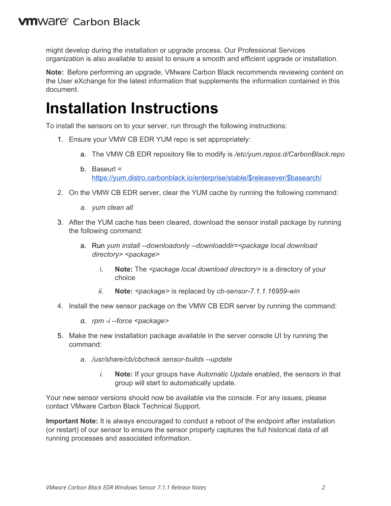might develop during the installation or upgrade process. Our Professional Services organization is also available to assist to ensure a smooth and efficient upgrade or installation.

**Note:** Before performing an upgrade, VMware Carbon Black recommends reviewing content on the User eXchange for the latest information that supplements the information contained in this document.

## **Installation Instructions**

To install the sensors on to your server, run through the following instructions:

- 1. Ensure your VMW CB EDR YUM repo is set appropriately:
	- a. The VMW CB EDR repository file to modify is */etc/yum.repos.d/CarbonBlack.repo*
	- b. Baseurl = [https://yum.distro.carbonblack.io/enterprise/stable/\\$releasever/\\$basearch/](https://yum.distro.carbonblack.io/enterprise/stable/$releasever/$basearch/)
- 2. On the VMW CB EDR server, clear the YUM cache by running the following command:
	- *a. yum clean all*
- 3. After the YUM cache has been cleared, download the sensor install package by running the following command:
	- a. Run *yum install --downloadonly --downloaddir=<package local download directory> <package>*
		- i. **Note:** The *<package local download directory>* is a directory of your choice
		- *ii.* **Note:** *<package>* is replaced by *cb-sensor-7.1.1.16959-win*
- 4. Install the new sensor package on the VMW CB EDR server by running the command:
	- *a. rpm -i --force <package>*
- 5. Make the new installation package available in the server console UI by running the command:
	- a. */usr/share/cb/cbcheck sensor-builds --update*
		- *i.* **Note:** If your groups have *Automatic Update* enabled, the sensors in that group will start to automatically update.

Your new sensor versions should now be available via the console. For any issues, please contact VMware Carbon Black Technical Support.

**Important Note:** It is always encouraged to conduct a reboot of the endpoint after installation (or restart) of our sensor to ensure the sensor properly captures the full historical data of all running processes and associated information.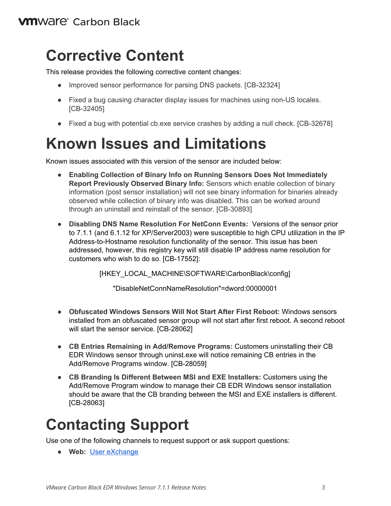## **Corrective Content**

This release provides the following corrective content changes:

- Improved sensor performance for parsing DNS packets. [CB-32324]
- Fixed a bug causing character display issues for machines using non-US locales. [CB-32405]
- Fixed a bug with potential cb.exe service crashes by adding a null check. [CB-32678]

# **Known Issues and Limitations**

Known issues associated with this version of the sensor are included below:

- **Enabling Collection of Binary Info on Running Sensors Does Not Immediately Report Previously Observed Binary Info:** Sensors which enable collection of binary information (post sensor installation) will not see binary information for binaries already observed while collection of binary info was disabled. This can be worked around through an uninstall and reinstall of the sensor. [CB-30893]
- **Disabling DNS Name Resolution For NetConn Events:** Versions of the sensor prior to 7.1.1 (and 6.1.12 for XP/Server2003) were susceptible to high CPU utilization in the IP Address-to-Hostname resolution functionality of the sensor. This issue has been addressed, however, this registry key will still disable IP address name resolution for customers who wish to do so. [CB-17552]:

[HKEY\_LOCAL\_MACHINE\SOFTWARE\CarbonBlack\config]

"DisableNetConnNameResolution"=dword:00000001

- **Obfuscated Windows Sensors Will Not Start After First Reboot:** Windows sensors installed from an obfuscated sensor group will not start after first reboot. A second reboot will start the sensor service. [CB-28062]
- **CB Entries Remaining in Add/Remove Programs:** Customers uninstalling their CB EDR Windows sensor through uninst.exe will notice remaining CB entries in the Add/Remove Programs window. [CB-28059]
- **CB Branding Is Different Between MSI and EXE Installers:** Customers using the Add/Remove Program window to manage their CB EDR Windows sensor installation should be aware that the CB branding between the MSI and EXE installers is different. [CB-28063]

# **Contacting Support**

Use one of the following channels to request support or ask support questions:

● **Web:** User [eXchange](https://community.carbonblack.com/)